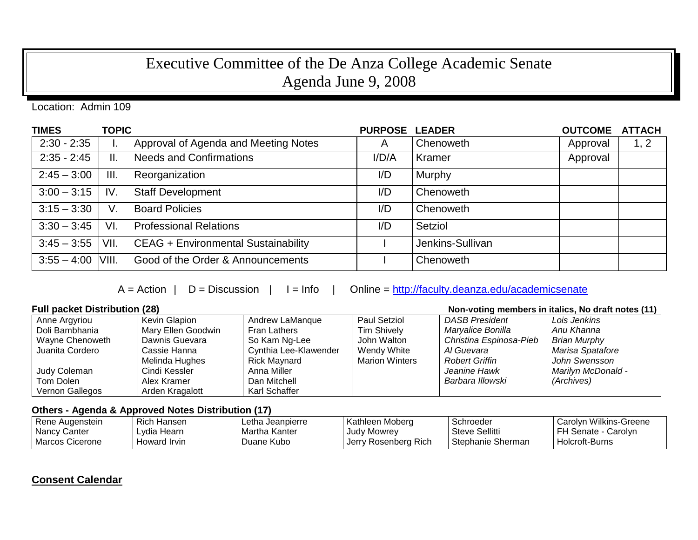## Executive Committee of the De Anza College Academic Senate Agenda June 9, 2008

Location: Admin 109

| <b>TIMES</b>        | <b>TOPIC</b> |                                            | <b>PURPOSE LEADER</b> |                  | <b>OUTCOME</b> | <b>ATTACH</b> |
|---------------------|--------------|--------------------------------------------|-----------------------|------------------|----------------|---------------|
| $2:30 - 2:35$       | ι.           | Approval of Agenda and Meeting Notes       | $\overline{A}$        | Chenoweth        | Approval       | 1, 2          |
| $2:35 - 2:45$       | II.          | <b>Needs and Confirmations</b>             | I/D/A                 | Kramer           | Approval       |               |
| $2:45 - 3:00$       | III.         | Reorganization                             | I/D                   | Murphy           |                |               |
| $3:00 - 3:15$       | IV.          | <b>Staff Development</b>                   | I/D                   | Chenoweth        |                |               |
| $3:15 - 3:30$       | V.           | <b>Board Policies</b>                      | I/D                   | Chenoweth        |                |               |
| $3:30 - 3:45$       | VI.          | <b>Professional Relations</b>              | I/D                   | Setziol          |                |               |
| $3:45 - 3:55$       | VII.         | <b>CEAG + Environmental Sustainability</b> |                       | Jenkins-Sullivan |                |               |
| $3:55 - 4:00$ VIII. |              | Good of the Order & Announcements          |                       | Chenoweth        |                |               |

 $A = Action \mid D = Discussion \mid I = Info \mid Online = \frac{http://faculty.deanza.edu/academicsenate}{}$ 

## **Full packet Distribution (28) Non-voting members in italics, No draft notes (11)**

| Anne Argyriou   | <b>Kevin Glapion</b> | Andrew LaManque       | <b>Paul Setziol</b>   | <b>DASB President</b>   | Lois Jenkins              |  |
|-----------------|----------------------|-----------------------|-----------------------|-------------------------|---------------------------|--|
| Doli Bambhania  | Mary Ellen Goodwin   | Fran Lathers          | <b>Tim Shively</b>    | Maryalice Bonilla       | Anu Khanna                |  |
| Wayne Chenoweth | Dawnis Guevara       | So Kam Ng-Lee         | John Walton           | Christina Espinosa-Pieb | <b>Brian Murphy</b>       |  |
| Juanita Cordero | Cassie Hanna         | Cynthia Lee-Klawender | Wendy White           | Al Guevara              | Marisa Spatafore          |  |
|                 | Melinda Hughes       | Rick Maynard          | <b>Marion Winters</b> | <b>Robert Griffin</b>   | John Swensson             |  |
| Judy Coleman    | Cindi Kessler        | Anna Miller           |                       | Jeanine Hawk            | <b>Marilyn McDonald -</b> |  |
| Tom Dolen       | Alex Kramer          | Dan Mitchell          |                       | Barbara Illowski        | (Archives)                |  |
| Vernon Gallegos | Arden Kragalott      | Karl Schaffer         |                       |                         |                           |  |

## **Others - Agenda & Approved Notes Distribution (17)**

| Rene Augenstein | <b>Rich Hansen</b> | ∟etha Jeanpierre | Kathleen Moberg      | Schroeder         | Carolyn Wilkins-Greene |
|-----------------|--------------------|------------------|----------------------|-------------------|------------------------|
| Nancy Canter    | Lydia Hearn        | Martha Kanter    | Judy Mowrey          | Steve Sellitti    | FH Senate - Carolyn    |
| Marcos Cicerone | Howard Irvin       | Duane Kubo       | Jerry Rosenberg Rich | Stephanie Sherman | Holcroft-Burns         |

## **Consent Calendar**